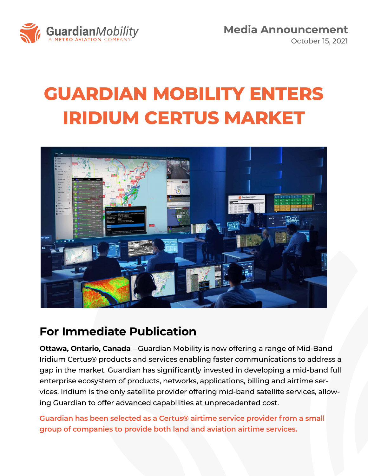

**Media Announcement** October 15, 2021

## **GUARDIAN MOBILITY ENTERS IRIDIUM CERTUS MARKET**



## **For Immediate Publication**

**Ottawa, Ontario, Canada** – Guardian Mobility is now offering a range of Mid-Band Iridium Certus® products and services enabling faster communications to address a gap in the market. Guardian has significantly invested in developing a mid-band full enterprise ecosystem of products, networks, applications, billing and airtime services. Iridium is the only satellite provider offering mid-band satellite services, allowing Guardian to offer advanced capabilities at unprecedented cost.

**Guardian has been selected as a Certus® airtime service provider from a small group of companies to provide both land and aviation airtime services.**